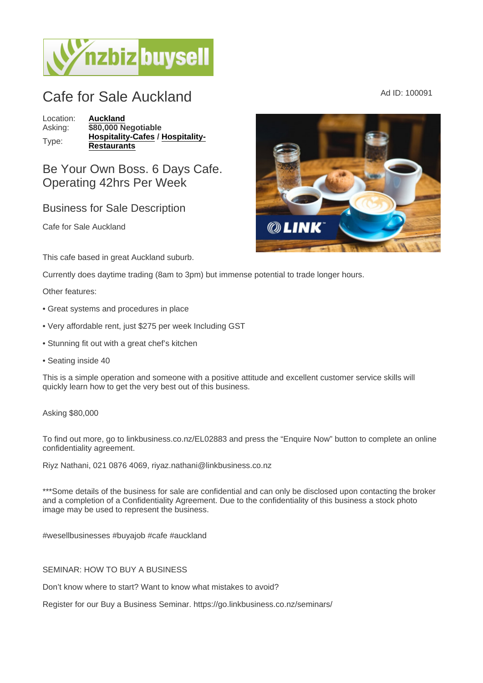## Cafe for Sale Auckland Ad ID: 100091

Location: [Auckland](https://www.nzbizbuysell.co.nz/businesses-for-sale/location/Auckland) Asking:  $\sqrt{\frac{$80,000}{1}}$  Negotiable Type: [Hospitality-Cafes](https://www.nzbizbuysell.co.nz/businesses-for-sale/Cafes/New-Zealand) / [Hospitality-](https://www.nzbizbuysell.co.nz/businesses-for-sale/Restaurants/New-Zealand)**[Restaurants](https://www.nzbizbuysell.co.nz/businesses-for-sale/Restaurants/New-Zealand)** 

Be Your Own Boss. 6 Days Cafe. Operating 42hrs Per Week

## Business for Sale Description

Cafe for Sale Auckland

This cafe based in great Auckland suburb.

Currently does daytime trading (8am to 3pm) but immense potential to trade longer hours.

Other features:

- Great systems and procedures in place
- Very affordable rent, just \$275 per week Including GST
- Stunning fit out with a great chef's kitchen
- Seating inside 40

This is a simple operation and someone with a positive attitude and excellent customer service skills will quickly learn how to get the very best out of this business.

## Asking \$80,000

To find out more, go to linkbusiness.co.nz/EL02883 and press the "Enquire Now" button to complete an online confidentiality agreement.

Riyz Nathani, 021 0876 4069, riyaz.nathani@linkbusiness.co.nz

\*\*\*Some details of the business for sale are confidential and can only be disclosed upon contacting the broker and a completion of a Confidentiality Agreement. Due to the confidentiality of this business a stock photo image may be used to represent the business.

#wesellbusinesses #buyajob #cafe #auckland

## SEMINAR: HOW TO BUY A BUSINESS

Don't know where to start? Want to know what mistakes to avoid?

Register for our Buy a Business Seminar. https://go.linkbusiness.co.nz/seminars/